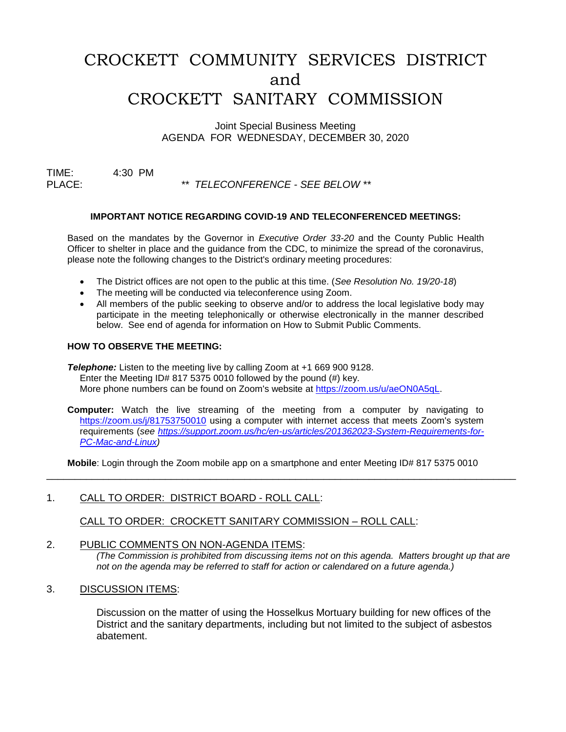# CROCKETT COMMUNITY SERVICES DISTRICT and CROCKETT SANITARY COMMISSION

Joint Special Business Meeting AGENDA FOR WEDNESDAY, DECEMBER 30, 2020

TIME: 4:30 PM PLACE: *\*\* TELECONFERENCE - SEE BELOW \*\**

## **IMPORTANT NOTICE REGARDING COVID-19 AND TELECONFERENCED MEETINGS:**

Based on the mandates by the Governor in *Executive Order 33-20* and the County Public Health Officer to shelter in place and the guidance from the CDC, to minimize the spread of the coronavirus, please note the following changes to the District's ordinary meeting procedures:

- The District offices are not open to the public at this time. (*See Resolution No. 19/20-18*)
- The meeting will be conducted via teleconference using Zoom.
- All members of the public seeking to observe and/or to address the local legislative body may participate in the meeting telephonically or otherwise electronically in the manner described below. See end of agenda for information on How to Submit Public Comments.

#### **HOW TO OBSERVE THE MEETING:**

**Telephone:** Listen to the meeting live by calling Zoom at +1 669 900 9128. Enter the Meeting ID# 817 5375 0010 followed by the pound (#) key. More phone numbers can be found on Zoom's website at [https://zoom.us/u/aeON0A5qL.](https://zoom.us/u/aeON0A5qL)

**Computer:** Watch the live streaming of the meeting from a computer by navigating to [https://zoom.us/j/81753750010](https://zoom.us/j/85375891271) using a computer with internet access that meets Zoom's system requirements (*see [https://support.zoom.us/hc/en-us/articles/201362023-System-Requirements-for-](https://support.zoom.us/hc/en-us/articles/201362023-System-Requirements-for-PC-Mac-and-Linux)[PC-Mac-and-Linux\)](https://support.zoom.us/hc/en-us/articles/201362023-System-Requirements-for-PC-Mac-and-Linux)*

**Mobile**: Login through the Zoom mobile app on a smartphone and enter Meeting ID# 817 5375 0010

\_\_\_\_\_\_\_\_\_\_\_\_\_\_\_\_\_\_\_\_\_\_\_\_\_\_\_\_\_\_\_\_\_\_\_\_\_\_\_\_\_\_\_\_\_\_\_\_\_\_\_\_\_\_\_\_\_\_\_\_\_\_\_\_\_\_\_\_\_\_\_\_\_\_\_\_\_\_\_\_\_\_\_

#### 1. CALL TO ORDER: DISTRICT BOARD - ROLL CALL:

CALL TO ORDER: CROCKETT SANITARY COMMISSION – ROLL CALL:

## 2. PUBLIC COMMENTS ON NON-AGENDA ITEMS:

*(The Commission is prohibited from discussing items not on this agenda. Matters brought up that are not on the agenda may be referred to staff for action or calendared on a future agenda.)*

3. DISCUSSION ITEMS:

Discussion on the matter of using the Hosselkus Mortuary building for new offices of the District and the sanitary departments, including but not limited to the subject of asbestos abatement.